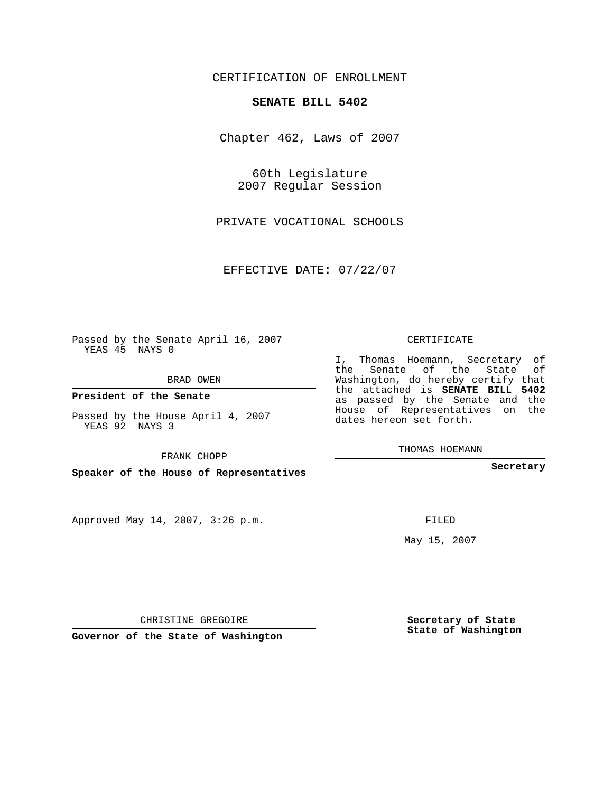CERTIFICATION OF ENROLLMENT

## **SENATE BILL 5402**

Chapter 462, Laws of 2007

60th Legislature 2007 Regular Session

PRIVATE VOCATIONAL SCHOOLS

EFFECTIVE DATE: 07/22/07

Passed by the Senate April 16, 2007 YEAS 45 NAYS 0

BRAD OWEN

**President of the Senate**

Passed by the House April 4, 2007 YEAS 92 NAYS 3

FRANK CHOPP

**Speaker of the House of Representatives**

Approved May 14, 2007, 3:26 p.m.

CERTIFICATE

I, Thomas Hoemann, Secretary of the Senate of the State of Washington, do hereby certify that the attached is **SENATE BILL 5402** as passed by the Senate and the House of Representatives on the dates hereon set forth.

THOMAS HOEMANN

**Secretary**

FILED

May 15, 2007

**Secretary of State State of Washington**

CHRISTINE GREGOIRE

**Governor of the State of Washington**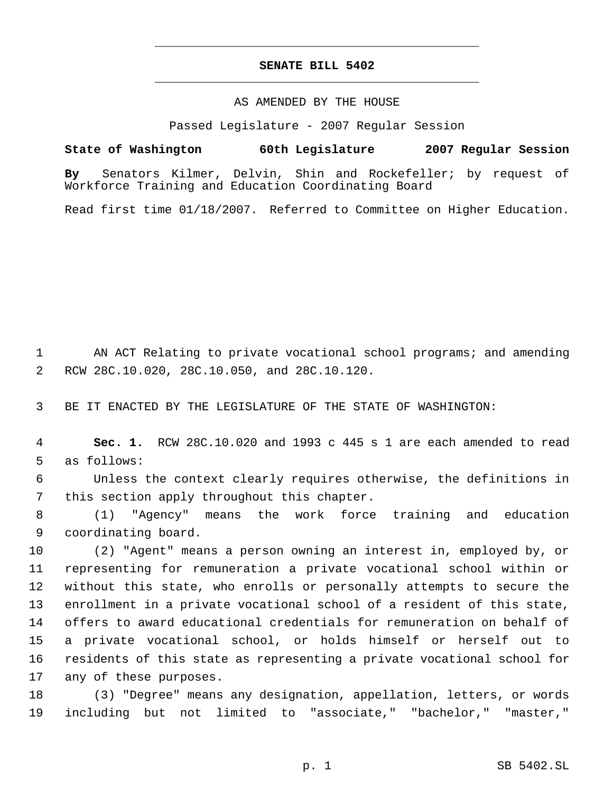## **SENATE BILL 5402** \_\_\_\_\_\_\_\_\_\_\_\_\_\_\_\_\_\_\_\_\_\_\_\_\_\_\_\_\_\_\_\_\_\_\_\_\_\_\_\_\_\_\_\_\_

\_\_\_\_\_\_\_\_\_\_\_\_\_\_\_\_\_\_\_\_\_\_\_\_\_\_\_\_\_\_\_\_\_\_\_\_\_\_\_\_\_\_\_\_\_

## AS AMENDED BY THE HOUSE

Passed Legislature - 2007 Regular Session

**State of Washington 60th Legislature 2007 Regular Session By** Senators Kilmer, Delvin, Shin and Rockefeller; by request of Workforce Training and Education Coordinating Board

Read first time 01/18/2007. Referred to Committee on Higher Education.

 AN ACT Relating to private vocational school programs; and amending RCW 28C.10.020, 28C.10.050, and 28C.10.120.

BE IT ENACTED BY THE LEGISLATURE OF THE STATE OF WASHINGTON:

 **Sec. 1.** RCW 28C.10.020 and 1993 c 445 s 1 are each amended to read as follows:

 Unless the context clearly requires otherwise, the definitions in this section apply throughout this chapter.

 (1) "Agency" means the work force training and education coordinating board.

 (2) "Agent" means a person owning an interest in, employed by, or representing for remuneration a private vocational school within or without this state, who enrolls or personally attempts to secure the enrollment in a private vocational school of a resident of this state, offers to award educational credentials for remuneration on behalf of a private vocational school, or holds himself or herself out to residents of this state as representing a private vocational school for any of these purposes.

 (3) "Degree" means any designation, appellation, letters, or words including but not limited to "associate," "bachelor," "master,"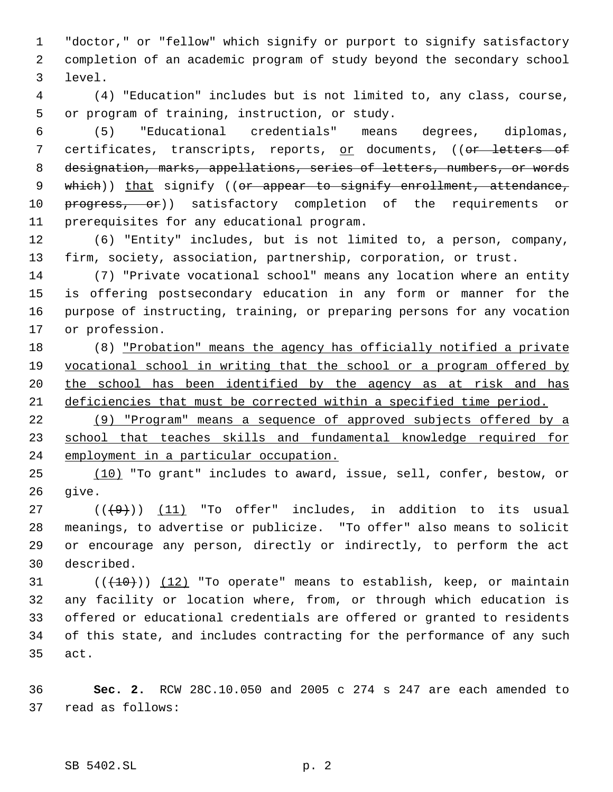"doctor," or "fellow" which signify or purport to signify satisfactory completion of an academic program of study beyond the secondary school level.

 (4) "Education" includes but is not limited to, any class, course, or program of training, instruction, or study.

 (5) "Educational credentials" means degrees, diplomas, 7 certificates, transcripts, reports, or documents, ((or letters of designation, marks, appellations, series of letters, numbers, or words 9 which)) that signify ((or appear to signify enrollment, attendance, 10 <del>progress, or</del>)) satisfactory completion of the requirements or prerequisites for any educational program.

 (6) "Entity" includes, but is not limited to, a person, company, firm, society, association, partnership, corporation, or trust.

 (7) "Private vocational school" means any location where an entity is offering postsecondary education in any form or manner for the purpose of instructing, training, or preparing persons for any vocation or profession.

 (8) "Probation" means the agency has officially notified a private vocational school in writing that the school or a program offered by the school has been identified by the agency as at risk and has deficiencies that must be corrected within a specified time period.

 (9) "Program" means a sequence of approved subjects offered by a school that teaches skills and fundamental knowledge required for employment in a particular occupation.

 (10) "To grant" includes to award, issue, sell, confer, bestow, or give.

 $((\langle 9 \rangle)(11)^2)$  "To offer" includes, in addition to its usual meanings, to advertise or publicize. "To offer" also means to solicit or encourage any person, directly or indirectly, to perform the act described.

 $((+10))$   $(12)$  "To operate" means to establish, keep, or maintain any facility or location where, from, or through which education is offered or educational credentials are offered or granted to residents of this state, and includes contracting for the performance of any such act.

 **Sec. 2.** RCW 28C.10.050 and 2005 c 274 s 247 are each amended to read as follows: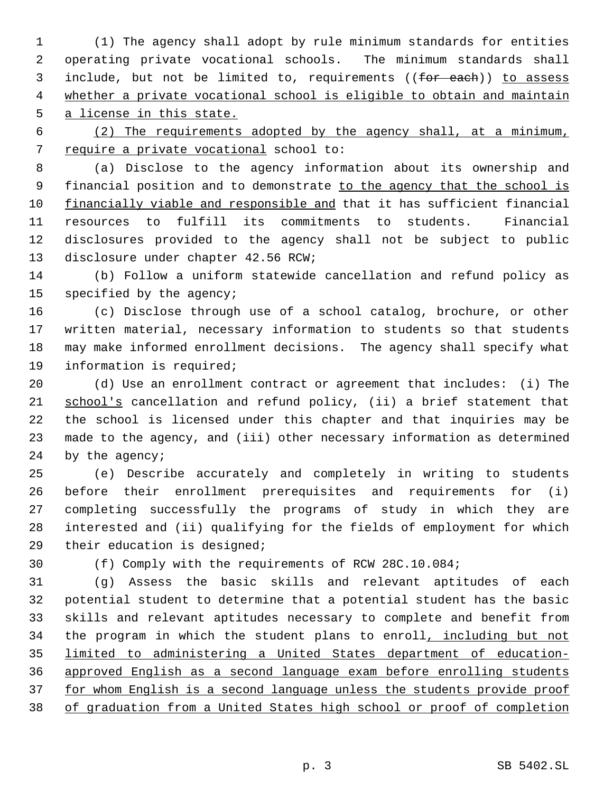(1) The agency shall adopt by rule minimum standards for entities operating private vocational schools. The minimum standards shall 3 include, but not be limited to, requirements ((for each)) to assess whether a private vocational school is eligible to obtain and maintain a license in this state.

 (2) The requirements adopted by the agency shall, at a minimum, require a private vocational school to:

 (a) Disclose to the agency information about its ownership and 9 financial position and to demonstrate to the agency that the school is financially viable and responsible and that it has sufficient financial resources to fulfill its commitments to students. Financial disclosures provided to the agency shall not be subject to public disclosure under chapter 42.56 RCW;

 (b) Follow a uniform statewide cancellation and refund policy as specified by the agency;

 (c) Disclose through use of a school catalog, brochure, or other written material, necessary information to students so that students may make informed enrollment decisions. The agency shall specify what information is required;

 (d) Use an enrollment contract or agreement that includes: (i) The 21 school's cancellation and refund policy, (ii) a brief statement that the school is licensed under this chapter and that inquiries may be made to the agency, and (iii) other necessary information as determined by the agency;

 (e) Describe accurately and completely in writing to students before their enrollment prerequisites and requirements for (i) completing successfully the programs of study in which they are interested and (ii) qualifying for the fields of employment for which their education is designed;

(f) Comply with the requirements of RCW 28C.10.084;

 (g) Assess the basic skills and relevant aptitudes of each potential student to determine that a potential student has the basic skills and relevant aptitudes necessary to complete and benefit from 34 the program in which the student plans to enroll, including but not limited to administering a United States department of education- approved English as a second language exam before enrolling students 37 for whom English is a second language unless the students provide proof of graduation from a United States high school or proof of completion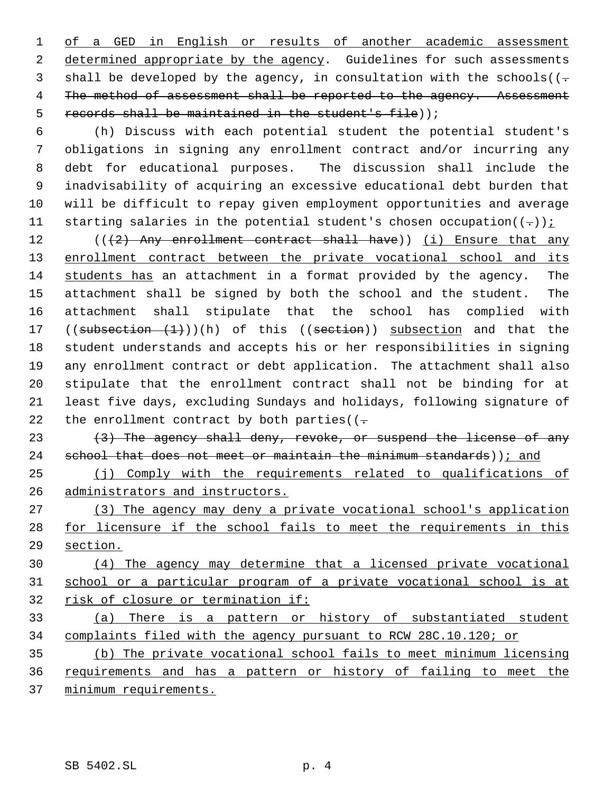1 of a GED in English or results of another academic assessment determined appropriate by the agency. Guidelines for such assessments 3 shall be developed by the agency, in consultation with the schools( $(-$ 4 The method of assessment shall be reported to the agency. Assessment 5 records shall be maintained in the student's file));

 (h) Discuss with each potential student the potential student's obligations in signing any enrollment contract and/or incurring any debt for educational purposes. The discussion shall include the inadvisability of acquiring an excessive educational debt burden that will be difficult to repay given employment opportunities and average 11 starting salaries in the potential student's chosen occupation( $(-)$ );

12 (((2) Any enrollment contract shall have)) (i) Ensure that any 13 enrollment contract between the private vocational school and its students has an attachment in a format provided by the agency. The attachment shall be signed by both the school and the student. The attachment shall stipulate that the school has complied with 17 ((subsection  $(1)$ ))(h) of this ((section)) subsection and that the student understands and accepts his or her responsibilities in signing any enrollment contract or debt application. The attachment shall also stipulate that the enrollment contract shall not be binding for at least five days, excluding Sundays and holidays, following signature of 22 the enrollment contract by both parties( $(-$ 

23  $(3)$  The agency shall deny, revoke, or suspend the license of any 24 school that does not meet or maintain the minimum standards)); and

 (j) Comply with the requirements related to qualifications of administrators and instructors.

 (3) The agency may deny a private vocational school's application 28 for licensure if the school fails to meet the requirements in this section.

 (4) The agency may determine that a licensed private vocational school or a particular program of a private vocational school is at risk of closure or termination if:

 (a) There is a pattern or history of substantiated student complaints filed with the agency pursuant to RCW 28C.10.120; or

 (b) The private vocational school fails to meet minimum licensing requirements and has a pattern or history of failing to meet the minimum requirements.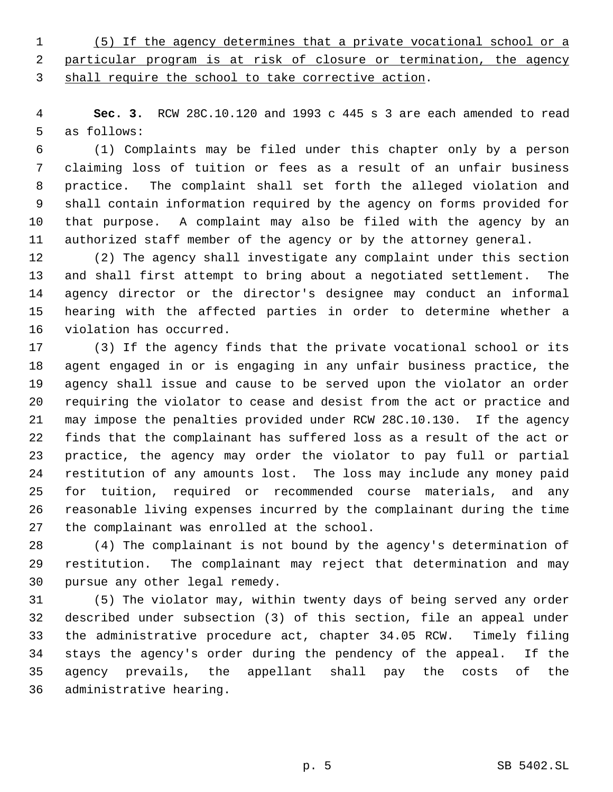(5) If the agency determines that a private vocational school or a particular program is at risk of closure or termination, the agency shall require the school to take corrective action.

 **Sec. 3.** RCW 28C.10.120 and 1993 c 445 s 3 are each amended to read as follows:

 (1) Complaints may be filed under this chapter only by a person claiming loss of tuition or fees as a result of an unfair business practice. The complaint shall set forth the alleged violation and shall contain information required by the agency on forms provided for that purpose. A complaint may also be filed with the agency by an authorized staff member of the agency or by the attorney general.

 (2) The agency shall investigate any complaint under this section and shall first attempt to bring about a negotiated settlement. The agency director or the director's designee may conduct an informal hearing with the affected parties in order to determine whether a violation has occurred.

 (3) If the agency finds that the private vocational school or its agent engaged in or is engaging in any unfair business practice, the agency shall issue and cause to be served upon the violator an order requiring the violator to cease and desist from the act or practice and may impose the penalties provided under RCW 28C.10.130. If the agency finds that the complainant has suffered loss as a result of the act or practice, the agency may order the violator to pay full or partial restitution of any amounts lost. The loss may include any money paid for tuition, required or recommended course materials, and any reasonable living expenses incurred by the complainant during the time the complainant was enrolled at the school.

 (4) The complainant is not bound by the agency's determination of restitution. The complainant may reject that determination and may pursue any other legal remedy.

 (5) The violator may, within twenty days of being served any order described under subsection (3) of this section, file an appeal under the administrative procedure act, chapter 34.05 RCW. Timely filing stays the agency's order during the pendency of the appeal. If the agency prevails, the appellant shall pay the costs of the administrative hearing.